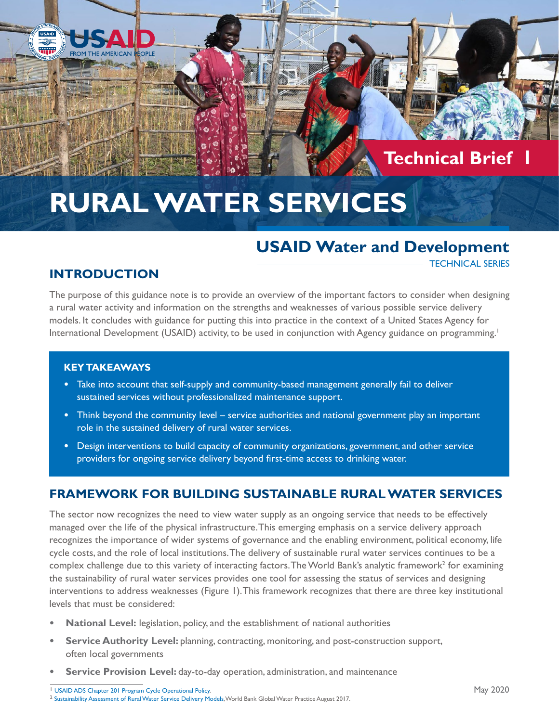# **Technical Brief 1**

# **RURAL WATER SERVICES**

# **USAID Water and Development**

#### TECHNICAL SERIES

### **INTRODUCTION**

**COPLE** 

**USAID Tilip** 

> The purpose of this guidance note is to provide an overview of the important factors to consider when designing a rural water activity and information on the strengths and weaknesses of various possible service delivery models. It concludes with guidance for putting this into practice in the context of a United States Agency for International Development (USAID) activity, to be used in conjunction with Agency guidance on programming.<sup>1</sup>

#### **KEY TAKEAWAYS**

- **•** Take into account that self-supply and community-based management generally fail to deliver sustained services without professionalized maintenance support.
- **•** Think beyond the community level service authorities and national government play an important role in the sustained delivery of rural water services.
- **•** Design interventions to build capacity of community organizations, government, and other service providers for ongoing service delivery beyond first-time access to drinking water.

# **FRAMEWORK FOR BUILDING SUSTAINABLE RURAL WATER SERVICES**

The sector now recognizes the need to view water supply as an ongoing service that needs to be effectively managed over the life of the physical infrastructure. This emerging emphasis on a service delivery approach recognizes the importance of wider systems of governance and the enabling environment, political economy, life cycle costs, and the role of local institutions. The delivery of sustainable rural water services continues to be a complex challenge due to this variety of interacting factors. The World Bank's analytic framework<sup>2</sup> for examining the sustainability of rural water services provides one tool for assessing the status of services and designing interventions to address weaknesses (Figure 1). This framework recognizes that there are three key institutional levels that must be considered:

- **• National Level:** legislation, policy, and the establishment of national authorities
- **• Service Authority Level:** planning, contracting, monitoring, and post-construction support, often local governments
- **• Service Provision Level:** day-to-day operation, administration, and maintenance

1 [USAID ADS Chapter 201 Program Cycle Operational Policy.](https://www.usaid.gov/sites/default/files/documents/1870/201.pdf) 2 [Sustainability Assessment of Rural Water Service Delivery Models](documents.worldbank.org), World Bank Global Water Practice August 2017.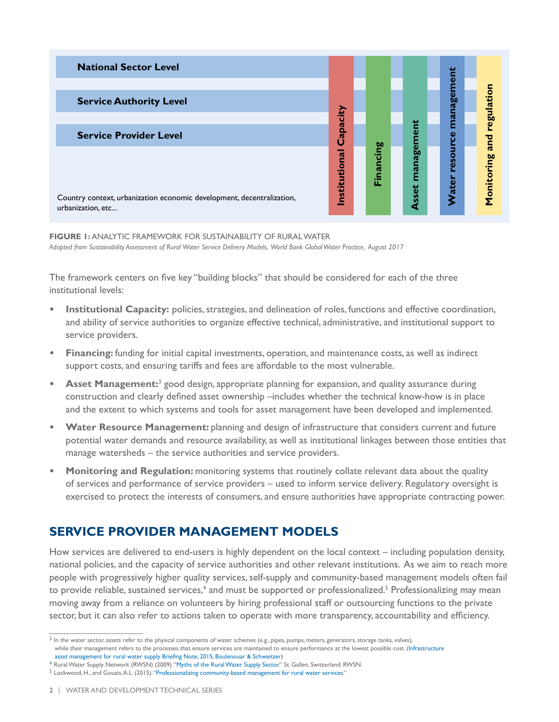

**FIGURE 1:** ANALYTIC FRAMEWORK FOR SUSTAINABILITY OF RURAL WATER *Adapted from Sustainability Assessment of Rural Water Service Delivery Models, World Bank Global Water Practice, August 2017*

The framework centers on five key "building blocks" that should be considered for each of the three institutional levels:

- **• Institutional Capacity:** policies, strategies, and delineation of roles, functions and effective coordination, and ability of service authorities to organize effective technical, administrative, and institutional support to service providers.
- **• Financing:** funding for initial capital investments, operation, and maintenance costs, as well as indirect support costs, and ensuring tariffs and fees are affordable to the most vulnerable.
- **• Asset Management:**<sup>3</sup> good design, appropriate planning for expansion, and quality assurance during construction and clearly defined asset ownership –includes whether the technical know-how is in place and the extent to which systems and tools for asset management have been developed and implemented.
- **Water Resource Management:** planning and design of infrastructure that considers current and future potential water demands and resource availability, as well as institutional linkages between those entities that manage watersheds – the service authorities and service providers.
- **Monitoring and Regulation:** monitoring systems that routinely collate relevant data about the quality of services and performance of service providers – used to inform service delivery. Regulatory oversight is exercised to protect the interests of consumers, and ensure authorities have appropriate contracting power.

# **SERVICE PROVIDER MANAGEMENT MODELS**

How services are delivered to end-users is highly dependent on the local context – including population density, national policies, and the capacity of service authorities and other relevant institutions. As we aim to reach more people with progressively higher quality services, self-supply and community-based management models often fail to provide reliable, sustained services,<sup>4</sup> and must be supported or professionalized.<sup>5</sup> Professionalizing may mean moving away from a reliance on volunteers by hiring professional staff or outsourcing functions to the private sector, but it can also refer to actions taken to operate with more transparency, accountability and efficiency.

<sup>&</sup>lt;sup>3</sup> In the water sector, assets refer to the physical components of water schemes (e.g., pipes, pumps, meters, generators, storage tanks, valves), while their management refers to the processes that ensure services are maintained to ensure performance at the lowest possible cost. ([Infrastructure](ircwash.org) 

asset management for rural water supply Briefing Note, 2015, Boulenouar & Schweitzer[\)](ircwash.org)<br><sup>4</sup> Rural Water Supply Network (RWSN) (2009). "[Myths of the Rural Water Supply Sector.](rural-water-supply.net)" St. Gallen, Switzerland: RWSN.

<sup>5</sup> Lockwood, H., and Gouais, A.L. (2015). "[Professionalizing community-based management for rural water services.](https://www.ircwash.org/sites/default/files/084-201502triple-s_bn01defweb_1_0.pdf)"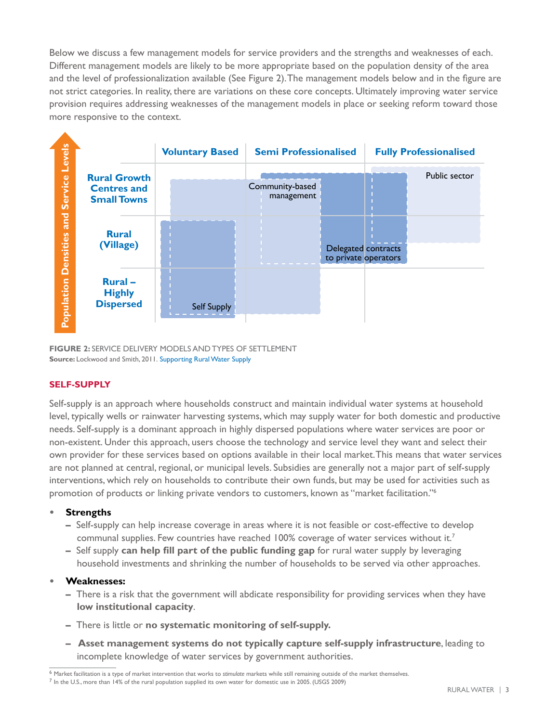Below we discuss a few management models for service providers and the strengths and weaknesses of each. Different management models are likely to be more appropriate based on the population density of the area and the level of professionalization available (See Figure 2). The management models below and in the figure are not strict categories. In reality, there are variations on these core concepts. Ultimately improving water service provision requires addressing weaknesses of the management models in place or seeking reform toward those more responsive to the context.



**FIGURE 2: SERVICE DELIVERY MODELS AND TYPES OF SETTLEMENT Source:** Lockwood and Smith, 2011. Supporting Rural Water Suppl[y](ircwash.org)

#### **SELF-SUPPLY**

Self-supply is an approach where households construct and maintain individual water systems at household level, typically wells or rainwater harvesting systems, which may supply water for both domestic and productive needs. Self-supply is a dominant approach in highly dispersed populations where water services are poor or non-existent. Under this approach, users choose the technology and service level they want and select their own provider for these services based on options available in their local market. This means that water services are not planned at central, regional, or municipal levels. Subsidies are generally not a major part of self-supply interventions, which rely on households to contribute their own funds, but may be used for activities such as promotion of products or linking private vendors to customers, known as "market facilitation."<sup>6</sup>

#### **• Strengths**

- **–** Self-supply can help increase coverage in areas where it is not feasible or cost-effective to develop communal supplies. Few countries have reached 100% coverage of water services without it.<sup>7</sup>
- **–** Self supply **can help fill part of the public funding gap** for rural water supply by leveraging household investments and shrinking the number of households to be served via other approaches.

#### **• Weaknesses:**

- **–** There is a risk that the government will abdicate responsibility for providing services when they have **low institutional capacity**.
- **–** There is little or **no systematic monitoring of self-supply.**
- **Asset management systems do not typically capture self-supply infrastructure**, leading to incomplete knowledge of water services by government authorities.

 $6$  Market facilitation is a type of market intervention that works to stimulate markets while still remaining outside of the market themselves.<br>7 In the U.S., more than 14% of the rural population supplied its own water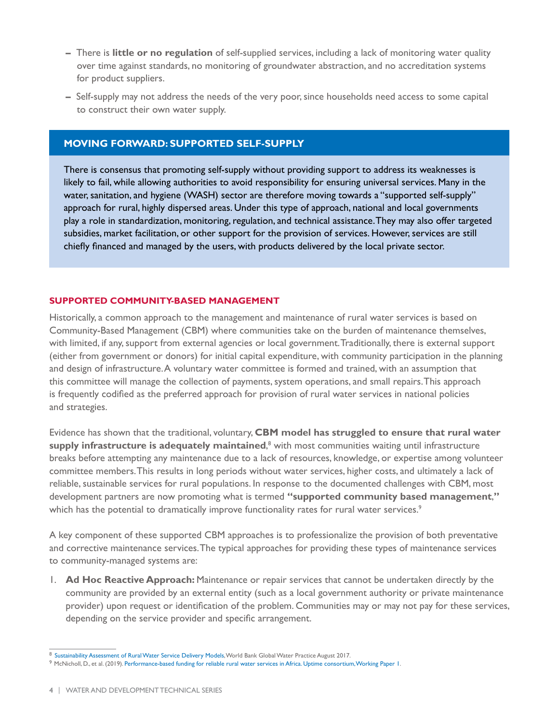- There is **little or no regulation** of self-supplied services, including a lack of monitoring water quality over time against standards, no monitoring of groundwater abstraction, and no accreditation systems for product suppliers.
- Self-supply may not address the needs of the very poor, since households need access to some capital to construct their own water supply.

#### **MOVING FORWARD: SUPPORTED SELF-SUPPLY**

There is consensus that promoting self-supply without providing support to address its weaknesses is likely to fail, while allowing authorities to avoid responsibility for ensuring universal services. Many in the water, sanitation, and hygiene (WASH) sector are therefore moving towards a "supported self-supply" approach for rural, highly dispersed areas. Under this type of approach, national and local governments play a role in standardization, monitoring, regulation, and technical assistance. They may also offer targeted subsidies, market facilitation, or other support for the provision of services. However, services are still chiefly financed and managed by the users, with products delivered by the local private sector.

#### **SUPPORTED COMMUNITY-BASED MANAGEMENT**

Historically, a common approach to the management and maintenance of rural water services is based on Community-Based Management (CBM) where communities take on the burden of maintenance themselves, with limited, if any, support from external agencies or local government. Traditionally, there is external support (either from government or donors) for initial capital expenditure, with community participation in the planning and design of infrastructure. A voluntary water committee is formed and trained, with an assumption that this committee will manage the collection of payments, system operations, and small repairs. This approach is frequently codified as the preferred approach for provision of rural water services in national policies and strategies.

Evidence has shown that the traditional, voluntary, **CBM model has struggled to ensure that rural water**  supply infrastructure is adequately maintained,<sup>8</sup> with most communities waiting until infrastructure breaks before attempting any maintenance due to a lack of resources, knowledge, or expertise among volunteer committee members. This results in long periods without water services, higher costs, and ultimately a lack of reliable, sustainable services for rural populations. In response to the documented challenges with CBM, most development partners are now promoting what is termed **"supported community based management**,**"** which has the potential to dramatically improve functionality rates for rural water services.<sup>9</sup>

A key component of these supported CBM approaches is to professionalize the provision of both preventative and corrective maintenance services. The typical approaches for providing these types of maintenance services to community-managed systems are:

1. **Ad Hoc Reactive Approach:** Maintenance or repair services that cannot be undertaken directly by the community are provided by an external entity (such as a local government authority or private maintenance provider) upon request or identification of the problem. Communities may or may not pay for these services, depending on the service provider and specific arrangement.

<sup>8</sup> [Sustainability Assessment of Rural Water Service Delivery Models](documents.worldbank.org), World Bank Global Water Practice August 2017.

<sup>9</sup> McNicholl, D., et al. (2019). [Performance-based funding for reliable rural water services in Africa. Uptime consortium, Working Paper 1](https://www.smithschool.ox.ac.uk/research/water/report-performance-based-funding.html).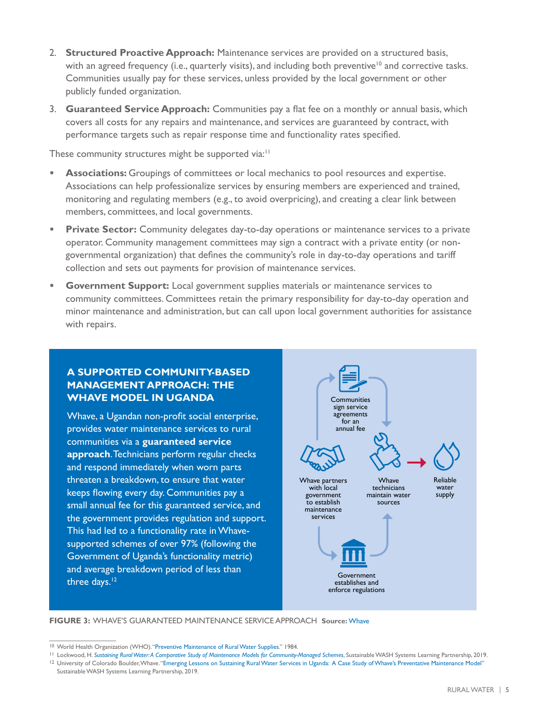- 2. **Structured Proactive Approach:** Maintenance services are provided on a structured basis, with an agreed frequency (i.e., quarterly visits), and including both preventive<sup>10</sup> and corrective tasks. Communities usually pay for these services, unless provided by the local government or other publicly funded organization.
- 3. **Guaranteed Service Approach:** Communities pay a flat fee on a monthly or annual basis, which covers all costs for any repairs and maintenance, and services are guaranteed by contract, with performance targets such as repair response time and functionality rates specified.

These community structures might be supported via:<sup>11</sup>

- **• Associations:** Groupings of committees or local mechanics to pool resources and expertise. Associations can help professionalize services by ensuring members are experienced and trained, monitoring and regulating members (e.g., to avoid overpricing), and creating a clear link between members, committees, and local governments.
- **• Private Sector:** Community delegates day-to-day operations or maintenance services to a private operator. Community management committees may sign a contract with a private entity (or nongovernmental organization) that defines the community's role in day-to-day operations and tariff collection and sets out payments for provision of maintenance services.
- **Government Support:** Local government supplies materials or maintenance services to community committees. Committees retain the primary responsibility for day-to-day operation and minor maintenance and administration, but can call upon local government authorities for assistance with repairs.

#### **A SUPPORTED COMMUNITY-BASED MANAGEMENT APPROACH: THE WHAVE MODEL IN UGANDA**

Whave, a Ugandan non-profit social enterprise, provides water maintenance services to rural communities via a **guaranteed service approach**. Technicians perform regular checks and respond immediately when worn parts threaten a breakdown, to ensure that water keeps flowing every day. Communities pay a small annual fee for this guaranteed service, and the government provides regulation and support. This had led to a functionality rate in Whavesupported schemes of over 97% (following the Government of Uganda's functionality metric) and average breakdown period of less than three days.<sup>12</sup>



**FIGURE 3:** WHAVE'S GUARANTEED MAINTENANCE SERVICE APPROACH **Source:** [Whave](https://www.whave.org/)

<sup>10</sup> World Health Organization (WHO). "[Preventive Maintenance of Rural Water Supplies.](apps.who.int)" 1984.

<sup>11</sup> Lockwood, H. *[Sustaining Rural Water: A Comparative Study of Maintenance Models for Community-Managed Schemes](globalwaters.org)*, Sustainable WASH Systems Learning Partnership, 2019. <sup>12</sup> University of Colorado Boulder, Whave. "[Emerging Lessons on Sustaining Rural Water Services in Uganda: A Case Study of Whave's Preventative Maintenance Model](globalwaters.org)" Sustainable WASH Systems Learning Partnership, 2019.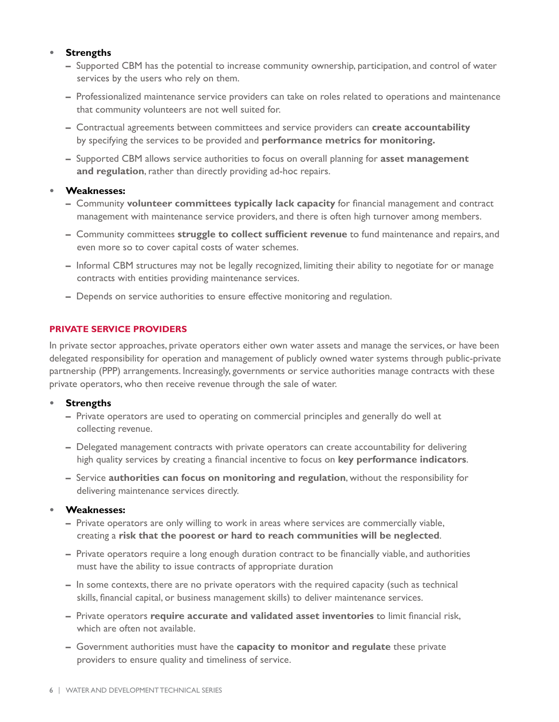#### **• Strengths**

- Supported CBM has the potential to increase community ownership, participation, and control of water services by the users who rely on them.
- Professionalized maintenance service providers can take on roles related to operations and maintenance that community volunteers are not well suited for.
- Contractual agreements between committees and service providers can **create accountability** by specifying the services to be provided and **performance metrics for monitoring.**
- Supported CBM allows service authorities to focus on overall planning for **asset management and regulation**, rather than directly providing ad-hoc repairs.

#### **• Weaknesses:**

- Community **volunteer committees typically lack capacity** for financial management and contract management with maintenance service providers, and there is often high turnover among members.
- Community committees **struggle to collect sufficient revenue** to fund maintenance and repairs, and even more so to cover capital costs of water schemes.
- Informal CBM structures may not be legally recognized, limiting their ability to negotiate for or manage contracts with entities providing maintenance services.
- Depends on service authorities to ensure effective monitoring and regulation.

#### **PRIVATE SERVICE PROVIDERS**

In private sector approaches, private operators either own water assets and manage the services, or have been delegated responsibility for operation and management of publicly owned water systems through public-private partnership (PPP) arrangements. Increasingly, governments or service authorities manage contracts with these private operators, who then receive revenue through the sale of water.

#### **• Strengths**

- Private operators are used to operating on commercial principles and generally do well at collecting revenue.
- Delegated management contracts with private operators can create accountability for delivering high quality services by creating a financial incentive to focus on **key performance indicators**.
- Service **authorities can focus on monitoring and regulation**, without the responsibility for delivering maintenance services directly.

#### **• Weaknesses:**

- Private operators are only willing to work in areas where services are commercially viable, creating a **risk that the poorest or hard to reach communities will be neglected**.
- Private operators require a long enough duration contract to be financially viable, and authorities must have the ability to issue contracts of appropriate duration
- In some contexts, there are no private operators with the required capacity (such as technical skills, financial capital, or business management skills) to deliver maintenance services.
- Private operators **require accurate and validated asset inventories** to limit financial risk, which are often not available.
- Government authorities must have the **capacity to monitor and regulate** these private providers to ensure quality and timeliness of service.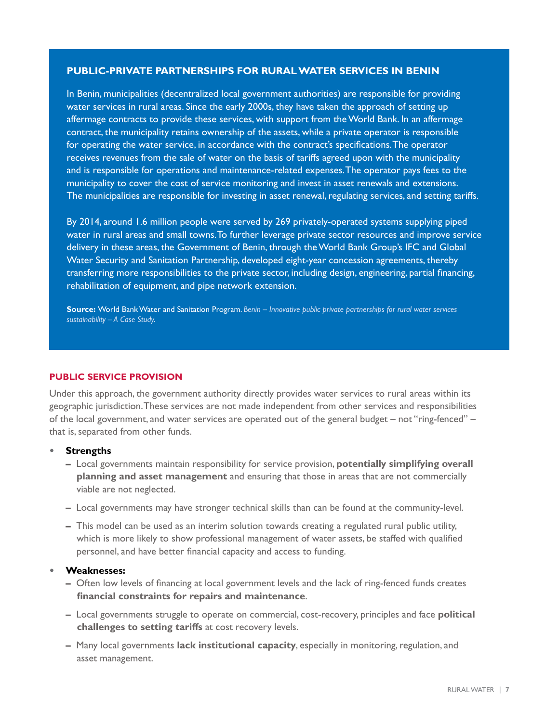#### **PUBLIC-PRIVATE PARTNERSHIPS FOR RURAL WATER SERVICES IN BENIN**

In Benin, municipalities (decentralized local government authorities) are responsible for providing water services in rural areas. Since the early 2000s, they have taken the approach of setting up affermage contracts to provide these services, with support from the World Bank. In an affermage contract, the municipality retains ownership of the assets, while a private operator is responsible for operating the water service, in accordance with the contract's specifications. The operator receives revenues from the sale of water on the basis of tariffs agreed upon with the municipality and is responsible for operations and maintenance-related expenses. The operator pays fees to the municipality to cover the cost of service monitoring and invest in asset renewals and extensions. The municipalities are responsible for investing in asset renewal, regulating services, and setting tariffs.

By 2014, around 1.6 million people were served by 269 privately-operated systems supplying piped water in rural areas and small towns. To further leverage private sector resources and improve service delivery in these areas, the Government of Benin, through the World Bank Group's IFC and Global Water Security and Sanitation Partnership, developed eight-year concession agreements, thereby transferring more responsibilities to the private sector, including design, engineering, partial financing, rehabilitation of equipment, and pipe network extension.

**Source:** World Bank Water and Sanitation Program. *[Benin – Innovative public private partnerships for rural water services](https://www.worldbank.org/en/about/partners/brief/benin-broader-access-to-water-for-rural-communities)  [sustainability – A Case Study.](https://www.worldbank.org/en/about/partners/brief/benin-broader-access-to-water-for-rural-communities)*

#### **PUBLIC SERVICE PROVISION**

Under this approach, the government authority directly provides water services to rural areas within its geographic jurisdiction. These services are not made independent from other services and responsibilities of the local government, and water services are operated out of the general budget – not "ring-fenced" – that is, separated from other funds.

#### **• Strengths**

- Local governments maintain responsibility for service provision, **potentially simplifying overall planning and asset management** and ensuring that those in areas that are not commercially viable are not neglected.
- Local governments may have stronger technical skills than can be found at the community-level.
- This model can be used as an interim solution towards creating a regulated rural public utility, which is more likely to show professional management of water assets, be staffed with qualified personnel, and have better financial capacity and access to funding.

#### **• Weaknesses:**

- Often low levels of financing at local government levels and the lack of ring-fenced funds creates **financial constraints for repairs and maintenance**.
- Local governments struggle to operate on commercial, cost-recovery, principles and face **political challenges to setting tariffs** at cost recovery levels.
- Many local governments **lack institutional capacity**, especially in monitoring, regulation, and asset management.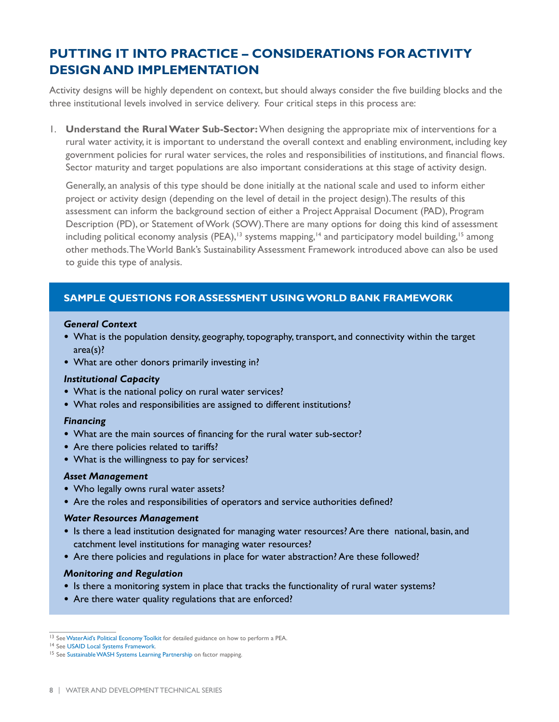# **PUTTING IT INTO PRACTICE – CONSIDERATIONS FOR ACTIVITY DESIGN AND IMPLEMENTATION**

Activity designs will be highly dependent on context, but should always consider the five building blocks and the three institutional levels involved in service delivery. Four critical steps in this process are:

1. **Understand the Rural Water Sub-Sector:** When designing the appropriate mix of interventions for a rural water activity, it is important to understand the overall context and enabling environment, including key government policies for rural water services, the roles and responsibilities of institutions, and financial flows. Sector maturity and target populations are also important considerations at this stage of activity design.

Generally, an analysis of this type should be done initially at the national scale and used to inform either project or activity design (depending on the level of detail in the project design). The results of this assessment can inform the background section of either a Project Appraisal Document (PAD), Program Description (PD), or Statement of Work (SOW). There are many options for doing this kind of assessment including political economy analysis (PEA),<sup>13</sup> systems mapping,<sup>14</sup> and participatory model building,<sup>15</sup> among other methods. The World Bank's Sustainability Assessment Framework introduced above can also be used to guide this type of analysis.

#### **SAMPLE QUESTIONS FOR ASSESSMENT USING WORLD BANK FRAMEWORK**

#### *General Context*

- What is the population density, geography, topography, transport, and connectivity within the target area(s)?
- **•** What are other donors primarily investing in?

#### *Institutional Capacity*

- **•** What is the national policy on rural water services?
- **•** What roles and responsibilities are assigned to different institutions?

#### *Financing*

- **•** What are the main sources of financing for the rural water sub-sector?
- **•** Are there policies related to tariffs?
- **•** What is the willingness to pay for services?

#### *Asset Management*

- **•** Who legally owns rural water assets?
- **•** Are the roles and responsibilities of operators and service authorities defined?

#### *Water Resources Management*

- **•** Is there a lead institution designated for managing water resources? Are there national, basin, and catchment level institutions for managing water resources?
- **•** Are there policies and regulations in place for water abstraction? Are these followed?

#### *Monitoring and Regulation*

- Is there a monitoring system in place that tracks the functionality of rural water systems?
- **•** Are there water quality regulations that are enforced?

<sup>13</sup> See [WaterAid's Political Economy Toolkit](https://washmatters.wateraid.org/publications/political-			economy-analysis-toolkit) for detailed guidance on how to perform a PEA.

<sup>14</sup> See [USAID Local Systems Framework](https://www.usaid.gov/sites/default/files/documents/1870/LocalSystemsFramework.pdf).

<sup>15</sup> See [Sustainable WASH Systems Learning Partnership](https://www.globalwaters.org/resources/assets/sws/stakeholder-driven-factor-		mapping-wash-systems) on factor mapping.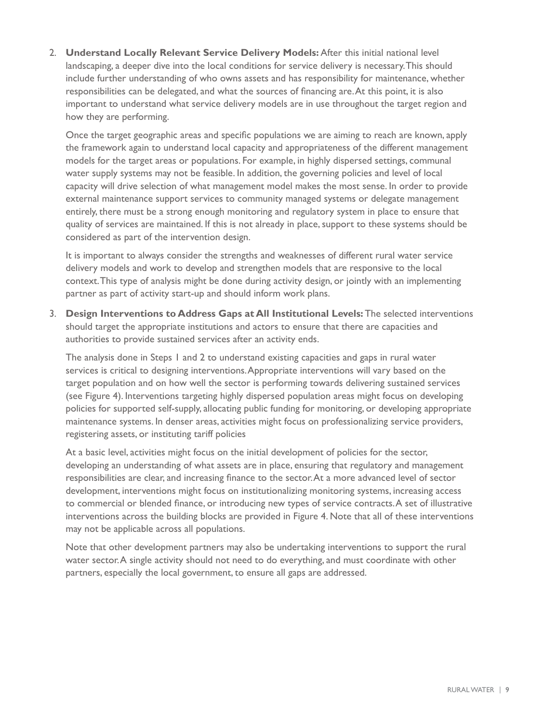2. **Understand Locally Relevant Service Delivery Models:** After this initial national level landscaping, a deeper dive into the local conditions for service delivery is necessary. This should include further understanding of who owns assets and has responsibility for maintenance, whether responsibilities can be delegated, and what the sources of financing are. At this point, it is also important to understand what service delivery models are in use throughout the target region and how they are performing.

Once the target geographic areas and specific populations we are aiming to reach are known, apply the framework again to understand local capacity and appropriateness of the different management models for the target areas or populations. For example, in highly dispersed settings, communal water supply systems may not be feasible. In addition, the governing policies and level of local capacity will drive selection of what management model makes the most sense. In order to provide external maintenance support services to community managed systems or delegate management entirely, there must be a strong enough monitoring and regulatory system in place to ensure that quality of services are maintained. If this is not already in place, support to these systems should be considered as part of the intervention design.

It is important to always consider the strengths and weaknesses of different rural water service delivery models and work to develop and strengthen models that are responsive to the local context. This type of analysis might be done during activity design, or jointly with an implementing partner as part of activity start-up and should inform work plans.

3. **Design Interventions to Address Gaps at All Institutional Levels:** The selected interventions should target the appropriate institutions and actors to ensure that there are capacities and authorities to provide sustained services after an activity ends.

The analysis done in Steps 1 and 2 to understand existing capacities and gaps in rural water services is critical to designing interventions. Appropriate interventions will vary based on the target population and on how well the sector is performing towards delivering sustained services (see Figure 4). Interventions targeting highly dispersed population areas might focus on developing policies for supported self-supply, allocating public funding for monitoring, or developing appropriate maintenance systems. In denser areas, activities might focus on professionalizing service providers, registering assets, or instituting tariff policies

At a basic level, activities might focus on the initial development of policies for the sector, developing an understanding of what assets are in place, ensuring that regulatory and management responsibilities are clear, and increasing finance to the sector. At a more advanced level of sector development, interventions might focus on institutionalizing monitoring systems, increasing access to commercial or blended finance, or introducing new types of service contracts. A set of illustrative interventions across the building blocks are provided in Figure 4. Note that all of these interventions may not be applicable across all populations.

Note that other development partners may also be undertaking interventions to support the rural water sector. A single activity should not need to do everything, and must coordinate with other partners, especially the local government, to ensure all gaps are addressed.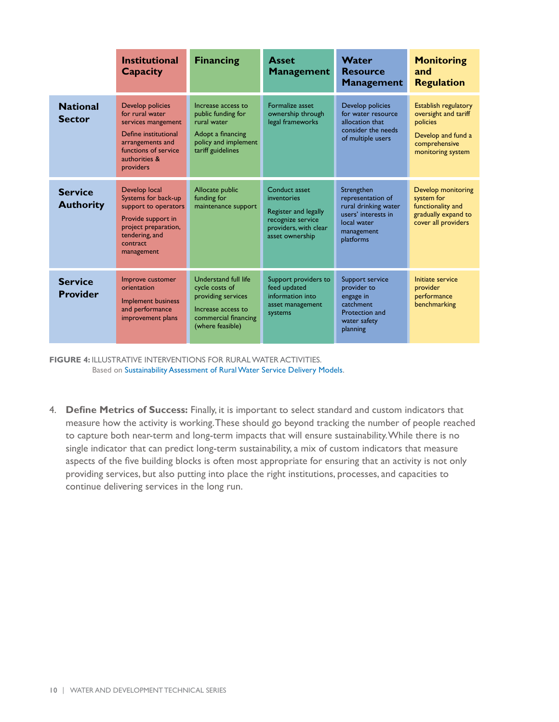|                                    | <b>Institutional</b><br>Capacity                                                                                                                            | <b>Financing</b>                                                                                                               | <b>Asset</b><br><b>Management</b>                                                                                     | Water<br><b>Resource</b><br><b>Management</b>                                                                            | <b>Monitoring</b><br>and<br><b>Regulation</b>                                                                               |
|------------------------------------|-------------------------------------------------------------------------------------------------------------------------------------------------------------|--------------------------------------------------------------------------------------------------------------------------------|-----------------------------------------------------------------------------------------------------------------------|--------------------------------------------------------------------------------------------------------------------------|-----------------------------------------------------------------------------------------------------------------------------|
| <b>National</b><br><b>Sector</b>   | Develop policies<br>for rural water<br>services mangement<br>Define institutional<br>arrangements and<br>functions of service<br>authorities &<br>providers | Increase access to<br>public funding for<br>rural water<br>Adopt a financing<br>policy and implement<br>tariff guidelines      | Formalize asset<br>ownership through<br>legal frameworks                                                              | Develop policies<br>for water resource<br>allocation that<br>consider the needs<br>of multiple users                     | <b>Establish regulatory</b><br>oversight and tariff<br>policies<br>Develop and fund a<br>comprehensive<br>monitoring system |
| <b>Service</b><br><b>Authority</b> | Develop local<br>Systems for back-up<br>support to operators<br>Provide support in<br>project preparation,<br>tendering, and<br>contract<br>management      | Allocate public<br>funding for<br>maintenance support                                                                          | Conduct asset<br>inventories<br>Register and legally<br>recognize service<br>providers, with clear<br>asset ownership | Strengthen<br>representation of<br>rural drinking water<br>users' interests in<br>local water<br>management<br>platforms | Develop monitoring<br>system for<br>functionality and<br>gradually expand to<br>cover all providers                         |
| <b>Service</b><br><b>Provider</b>  | Improve customer<br>orientation<br><b>Implement business</b><br>and performance<br>improvement plans                                                        | Understand full life<br>cycle costs of<br>providing services<br>Increase access to<br>commercial financing<br>(where feasible) | Support providers to<br>feed updated<br>information into<br>asset management<br>systems                               | Support service<br>provider to<br>engage in<br>catchment<br>Protection and<br>water safety<br>planning                   | Initiate service<br>provider<br>performance<br>benchmarking                                                                 |

**FIGURE 4:** ILLUSTRATIVE INTERVENTIONS FOR RURAL WATER ACTIVITIES. Based on Sustainability Assessment of Rural Water Service Delivery Models.

4. **Define Metrics of Success:** Finally, it is important to select standard and custom indicators that measure how the activity is working. These should go beyond tracking the number of people reached to capture both near-term and long-term impacts that will ensure sustainability. While there is no single indicator that can predict long-term sustainability, a mix of custom indicators that measure aspects of the five building blocks is often most appropriate for ensuring that an activity is not only providing services, but also putting into place the right institutions, processes, and capacities to continue delivering services in the long run.